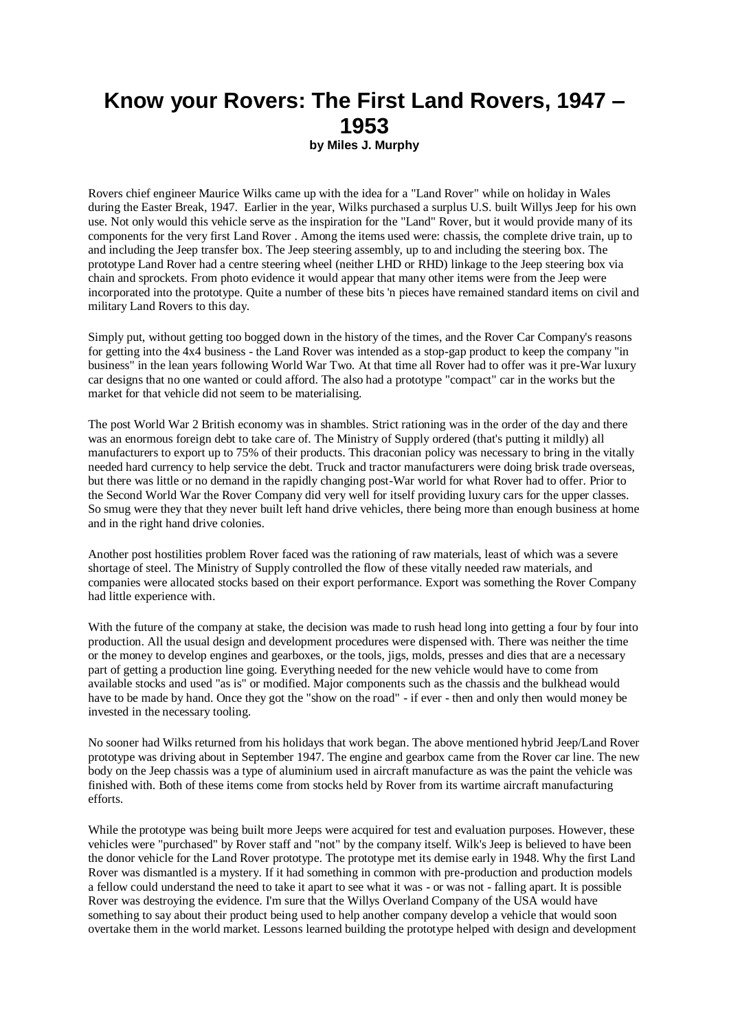## **Know your Rovers: The First Land Rovers, 1947 – 1953**

**by Miles J. Murphy**

Rovers chief engineer Maurice Wilks came up with the idea for a "Land Rover" while on holiday in Wales during the Easter Break, 1947. Earlier in the year, Wilks purchased a surplus U.S. built Willys Jeep for his own use. Not only would this vehicle serve as the inspiration for the "Land" Rover, but it would provide many of its components for the very first Land Rover . Among the items used were: chassis, the complete drive train, up to and including the Jeep transfer box. The Jeep steering assembly, up to and including the steering box. The prototype Land Rover had a centre steering wheel (neither LHD or RHD) linkage to the Jeep steering box via chain and sprockets. From photo evidence it would appear that many other items were from the Jeep were incorporated into the prototype. Quite a number of these bits 'n pieces have remained standard items on civil and military Land Rovers to this day.

Simply put, without getting too bogged down in the history of the times, and the Rover Car Company's reasons for getting into the 4x4 business - the Land Rover was intended as a stop-gap product to keep the company "in business" in the lean years following World War Two. At that time all Rover had to offer was it pre-War luxury car designs that no one wanted or could afford. The also had a prototype "compact" car in the works but the market for that vehicle did not seem to be materialising.

The post World War 2 British economy was in shambles. Strict rationing was in the order of the day and there was an enormous foreign debt to take care of. The Ministry of Supply ordered (that's putting it mildly) all manufacturers to export up to 75% of their products. This draconian policy was necessary to bring in the vitally needed hard currency to help service the debt. Truck and tractor manufacturers were doing brisk trade overseas, but there was little or no demand in the rapidly changing post-War world for what Rover had to offer. Prior to the Second World War the Rover Company did very well for itself providing luxury cars for the upper classes. So smug were they that they never built left hand drive vehicles, there being more than enough business at home and in the right hand drive colonies.

Another post hostilities problem Rover faced was the rationing of raw materials, least of which was a severe shortage of steel. The Ministry of Supply controlled the flow of these vitally needed raw materials, and companies were allocated stocks based on their export performance. Export was something the Rover Company had little experience with.

With the future of the company at stake, the decision was made to rush head long into getting a four by four into production. All the usual design and development procedures were dispensed with. There was neither the time or the money to develop engines and gearboxes, or the tools, jigs, molds, presses and dies that are a necessary part of getting a production line going. Everything needed for the new vehicle would have to come from available stocks and used "as is" or modified. Major components such as the chassis and the bulkhead would have to be made by hand. Once they got the "show on the road" - if ever - then and only then would money be invested in the necessary tooling.

No sooner had Wilks returned from his holidays that work began. The above mentioned hybrid Jeep/Land Rover prototype was driving about in September 1947. The engine and gearbox came from the Rover car line. The new body on the Jeep chassis was a type of aluminium used in aircraft manufacture as was the paint the vehicle was finished with. Both of these items come from stocks held by Rover from its wartime aircraft manufacturing efforts.

While the prototype was being built more Jeeps were acquired for test and evaluation purposes. However, these vehicles were "purchased" by Rover staff and "not" by the company itself. Wilk's Jeep is believed to have been the donor vehicle for the Land Rover prototype. The prototype met its demise early in 1948. Why the first Land Rover was dismantled is a mystery. If it had something in common with pre-production and production models a fellow could understand the need to take it apart to see what it was - or was not - falling apart. It is possible Rover was destroying the evidence. I'm sure that the Willys Overland Company of the USA would have something to say about their product being used to help another company develop a vehicle that would soon overtake them in the world market. Lessons learned building the prototype helped with design and development